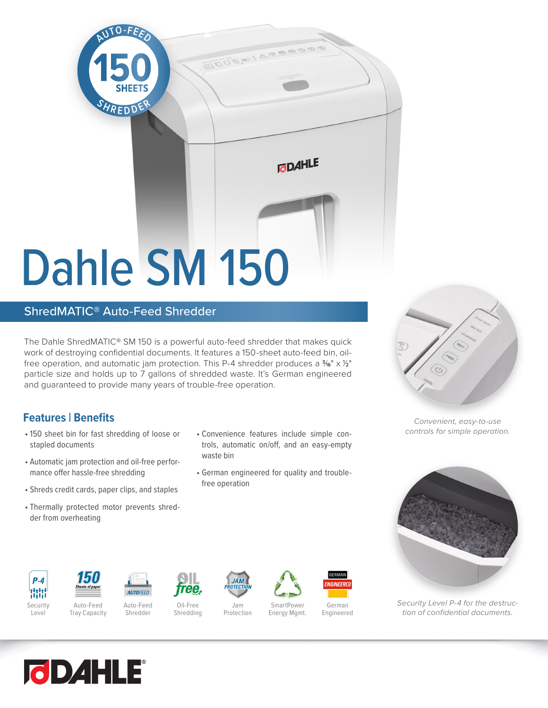

## ShredMATIC® Auto-Feed Shredder

The Dahle ShredMATIC® SM 150 is a powerful auto-feed shredder that makes quick work of destroying confidential documents. It features a 150-sheet auto-feed bin, oilfree operation, and automatic jam protection. This P-4 shredder produces a  $\frac{3}{6}$ " x 1/2" particle size and holds up to 7 gallons of shredded waste. It's German engineered and guaranteed to provide many years of trouble-free operation.

## **Features | Benefits**

- 150 sheet bin for fast shredding of loose or Convenience features include simple con-<br>
<sub>•</sub> 150 sheet bin for fast shredding of loose or Convenience features include simple constapled documents
- Automatic jam protection and oil-free performance offer hassle-free shredding
- Shreds credit cards, paper clips, and staples
- Thermally protected motor prevents shredder from overheating
- Convenience features include simple controls, automatic on/off, and an easy-empty waste bin
- German engineered for quality and troublefree operation



*Convenient, easy-to-use* 



*Security Level P-4 for the destruction of confidential documents.*



 $P - 4$ 

Tray Capacity



**AUTOFEED** Auto-Feed

Shredder Oil-Free Shredding



ee

Jam Protection

**JAN** 

SmartPower

Energy Mgmt.

German Engineered